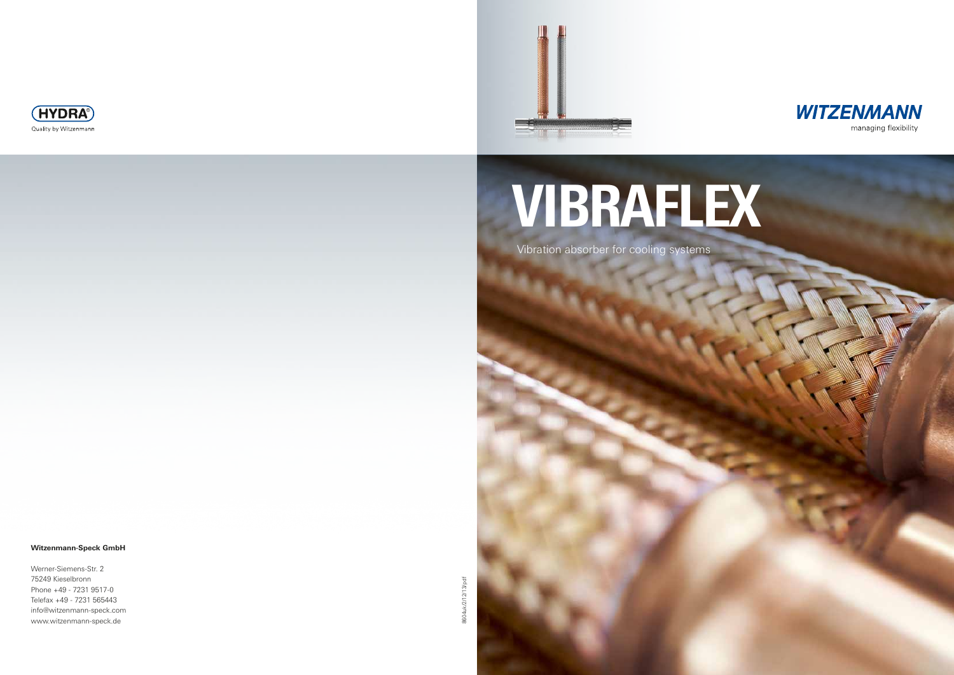8604uk/2/12/13/pdf 8604uk/2/12/13/pdf





#### **Witzenmann-Speck GmbH**

Werner-Siemens-Str. 2 75249 Kieselbronn Phone +49 - 7231 9517-0 Telefax +49 - 7231 565443 info@witzenmann-speck.com www.witzenmann-speck.de





# Vibraflex

Vibration absorber for cooling systems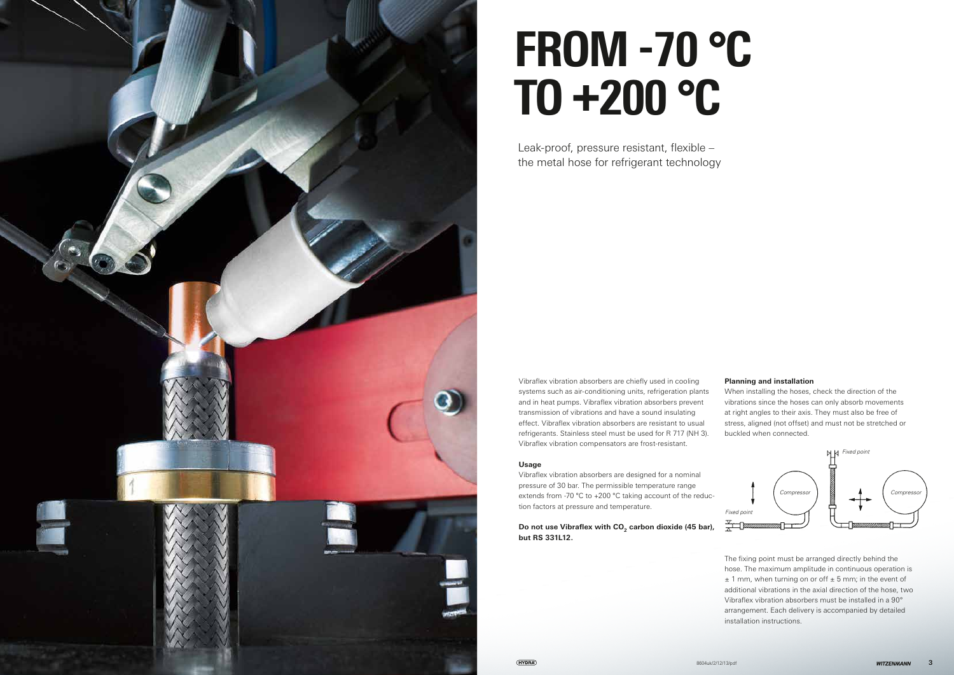

Vibraflex vibration absorbers are chiefly used in cooling systems such as air-conditioning units, refrigeration plants and in heat pumps. Vibraflex vibration absorbers prevent transmission of vibrations and have a sound insulating effect. Vibraflex vibration absorbers are resistant to usual refrigerants. Stainless steel must be used for R 717 (NH 3). Vibraflex vibration compensators are frost-resistant.

Do not use Vibraflex with CO<sub>2</sub> carbon dioxide (45 bar), **but RS 331L12.**

#### **Usage**

Vibraflex vibration absorbers are designed for a nominal pressure of 30 bar. The permissible temperature range extends from -70 °C to +200 °C taking account of the reduction factors at pressure and temperature.

### **Planning and installation**

When installing the hoses, check the direction of the vibrations since the hoses can only absorb movements at right angles to their axis. They must also be free of stress, aligned (not offset) and must not be stretched or buckled when connected.

The fixing point must be arranged directly behind the hose. The maximum amplitude in continuous operation is  $± 1$  mm, when turning on or off  $± 5$  mm; in the event of additional vibrations in the axial direction of the hose, two Vibraflex vibration absorbers must be installed in a 90° arrangement. Each delivery is accompanied by detailed installation instructions.

# From -70 °C to +200 °C

Leak-proof, pressure resistant, flexible – the metal hose for refrigerant technology

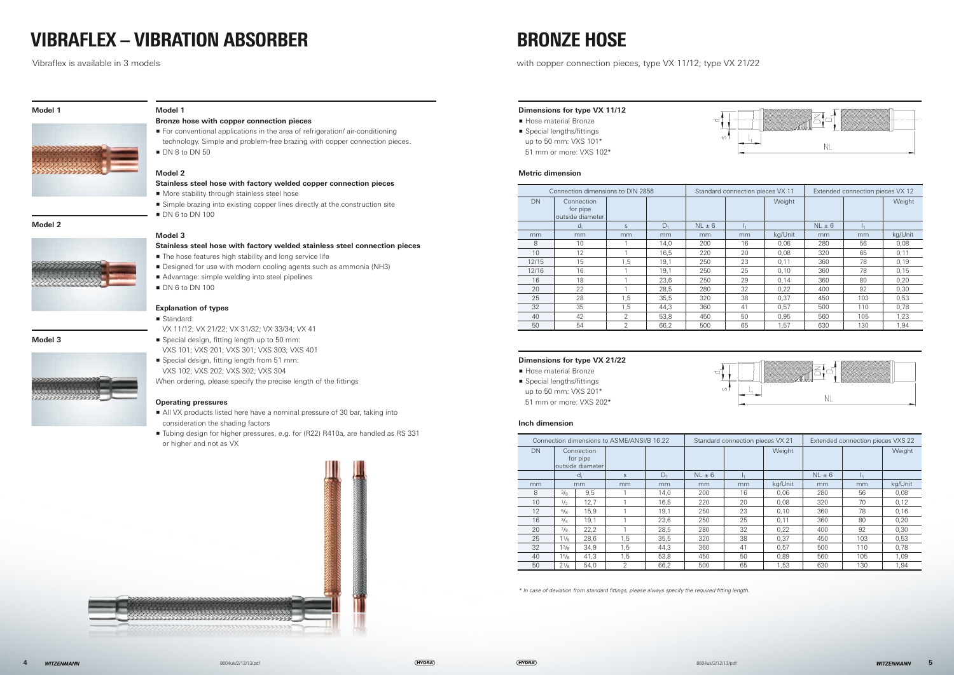#### **Dimensions for type VX 11/12**

- **Hose material Bronze**
- 
- up to 50 mm: VXS 101\*
- 51 mm or more: VXS 102\*

- **Hose material Bronze**
- **•** Special lengths/fittings up to 50 mm: VXS 201\*
- 51 mm or more: VXS 202\*

#### **Metric dimension**

#### **Dimensions for type VX 21/22**

#### **Inch dimension**

\* In case of deviation from standard fittings, please always specify the required fitting length.

## Vibraflex – vibration absorber Bronze hose

Vibraflex is available in 3 models with copper connection pieces, type VX 11/12; type VX 21/22



#### **Model 2**



#### **Model 3**



**Model 1**

## **Bronze hose with copper connection pieces**

- **For conventional applications in the area of refrigeration/air-conditioning** technology. Simple and problem-free brazing with copper connection pieces.
- $\blacksquare$  DN 8 to DN 50

- **•** Special design, fitting length up to 50 mm: VXS 101; VXS 201; VXS 301; VXS 303; VXS 401
- Special design, fitting length from 51 mm: VXS 102; VXS 202; VXS 302; VXS 304

#### **Model 2**

#### **Stainless steel hose with factory welded copper connection pieces**

- $\blacksquare$  More stability through stainless steel hose
- **F** Simple brazing into existing copper lines directly at the construction site
- $\blacksquare$  DN 6 to DN 100

### **Model 3**

#### **Stainless steel hose with factory welded stainless steel connection pieces**

- $\blacksquare$  The hose features high stability and long service life
- **•** Designed for use with modern cooling agents such as ammonia (NH3)
- Advantage: simple welding into steel pipelines
- $\blacksquare$  DN 6 to DN 100

#### **Explanation of types**

Standard:

VX 11/12; VX 21/22; VX 31/32; VX 33/34; VX 41

When ordering, please specify the precise length of the fittings

#### **Operating pressures**

- p All VX products listed here have a nominal pressure of 30 bar, taking into consideration the shading factors
- **Tubing design for higher pressures, e.g. for (R22) R410a, are handled as RS 331** or higher and not as VX





**•** Special lengths/fittings





|       | Connection dimensions to DIN 2856          | Standard connection pieces VX 11 |       |            | Extended connection pieces VX 12 |         |            |                  |         |
|-------|--------------------------------------------|----------------------------------|-------|------------|----------------------------------|---------|------------|------------------|---------|
| DN    | Connection<br>for pipe<br>outside diameter |                                  |       |            |                                  | Weight  |            |                  | Weight  |
|       | $d_i$                                      | S                                | $D_1$ | $NL \pm 6$ |                                  |         | $NL \pm 6$ | $\mathbf{1}_{1}$ |         |
| mm    | mm                                         | mm                               | mm    | mm         | mm                               | kg/Unit | mm         | mm               | kg/Unit |
| 8     | 10                                         |                                  | 14,0  | 200        | 16                               | 0,06    | 280        | 56               | 0,08    |
| 10    | 12                                         |                                  | 16,5  | 220        | 20                               | 0,08    | 320        | 65               | 0,11    |
| 12/15 | 15                                         | 1,5                              | 19,1  | 250        | 23                               | 0,11    | 360        | 78               | 0,19    |
| 12/16 | 16                                         |                                  | 19,1  | 250        | 25                               | 0,10    | 360        | 78               | 0,15    |
| 16    | 18                                         |                                  | 23,6  | 250        | 29                               | 0,14    | 360        | 80               | 0,20    |
| 20    | 22                                         |                                  | 28,5  | 280        | 32                               | 0,22    | 400        | 92               | 0,30    |
| 25    | 28                                         | 1,5                              | 35,5  | 320        | 38                               | 0.37    | 450        | 103              | 0,53    |
| 32    | 35                                         | 1,5                              | 44,3  | 360        | 41                               | 0.57    | 500        | 110              | 0,78    |
| 40    | 42                                         | 2                                | 53,8  | 450        | 50                               | 0,95    | 560        | 105              | 1,23    |
| 50    | 54                                         | 2                                | 66,2  | 500        | 65                               | 1.57    | 630        | 130              | 1.94    |

| Connection dimensions to ASME/ANSI/B 16.22 |                |                  |                |       |            | Standard connection pieces VX 21 |         | Extended connection pieces VXS 22 |           |         |
|--------------------------------------------|----------------|------------------|----------------|-------|------------|----------------------------------|---------|-----------------------------------|-----------|---------|
| DN                                         | Connection     |                  |                |       |            |                                  | Weight  |                                   |           | Weight  |
|                                            | for pipe       |                  |                |       |            |                                  |         |                                   |           |         |
|                                            |                | outside diameter |                |       |            |                                  |         |                                   |           |         |
|                                            |                | d.               | S              | $D_1$ | $NL \pm 6$ |                                  |         | $NL \pm 6$                        | $\vert$ 1 |         |
| mm                                         |                | mm               | mm             | mm    | mm         | mm                               | kg/Unit | mm                                | mm        | kg/Unit |
| 8                                          | $3\frac{1}{8}$ | 9,5              |                | 14,0  | 200        | 16                               | 0.06    | 280                               | 56        | 0,08    |
| 10                                         | 1/2            | 12,7             |                | 16,5  | 220        | 20                               | 0,08    | 320                               | 70        | 0,12    |
| 12                                         | 5/8            | 15,9             |                | 19,1  | 250        | 23                               | 0.10    | 360                               | 78        | 0,16    |
| 16                                         | 3/4            | 19,1             |                | 23,6  | 250        | 25                               | 0,11    | 360                               | 80        | 0,20    |
| 20                                         | $7\frac{1}{8}$ | 22,2             |                | 28,5  | 280        | 32                               | 0.22    | 400                               | 92        | 0.30    |
| 25                                         | 11/8           | 28,6             | 1,5            | 35,5  | 320        | 38                               | 0.37    | 450                               | 103       | 0,53    |
| 32                                         | 13/8           | 34,9             | 1,5            | 44,3  | 360        | 41                               | 0.57    | 500                               | 110       | 0,78    |
| 40                                         | 15/8           | 41,3             | 1,5            | 53,8  | 450        | 50                               | 0,89    | 560                               | 105       | 1,09    |
| 50                                         | $2^{1/8}$      | 54,0             | $\mathfrak{D}$ | 66,2  | 500        | 65                               | 1.53    | 630                               | 130       | 1.94    |